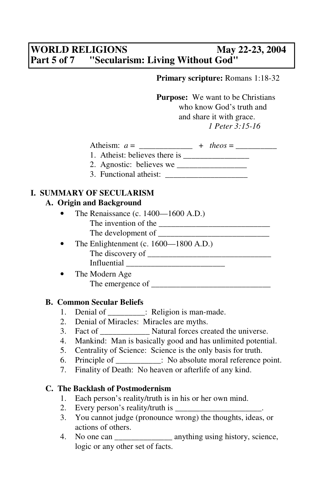# **WORLD RELIGIONS May 22-23, 2004 Part 5 of 7 "Secularism: Living Without God"**

 **Primary scripture:** Romans 1:18-32

**Purpose:** We want to be Christians who know God's truth and and share it with grace. *1 Peter 3:15-16*

| . <del>.</del><br>11ء<br>$\ddot{\phantom{1}}$<br>121 | $\overline{\phantom{0}}$<br>u<br>$-$ |  | $\overline{\phantom{a}}$<br>. |
|------------------------------------------------------|--------------------------------------|--|-------------------------------|
|------------------------------------------------------|--------------------------------------|--|-------------------------------|

- 1. Atheist: believes there is \_\_\_\_\_\_\_\_\_\_\_\_\_\_\_\_
- 2. Agnostic: believes we \_\_\_\_\_\_\_\_\_\_\_\_\_\_\_\_\_
- 3. Functional atheist:

## **I. SUMMARY OF SECULARISM**

#### **A. Origin and Background**

- The Renaissance (c. 1400—1600 A.D.) The invention of the \_\_\_\_\_\_\_\_\_\_\_\_\_\_\_\_\_\_\_\_\_\_\_\_\_\_\_ The development of
- The Enlightenment (c. 1600—1800 A.D.) The discovery of \_\_\_\_\_\_\_\_\_\_\_\_\_\_\_\_\_\_\_\_\_\_\_\_\_\_\_\_\_\_ Influential  $\blacksquare$
- The Modern Age The emergence of \_\_\_\_\_\_\_\_\_\_\_\_\_\_\_\_\_\_\_\_\_\_\_\_\_\_\_\_\_

## **B. Common Secular Beliefs**

- 1. Denial of \_\_\_\_\_\_\_\_\_: Religion is man-made.
- 2. Denial of Miracles: Miracles are myths.
- 3. Fact of \_\_\_\_\_\_\_\_\_\_\_\_ Natural forces created the universe.
- 4. Mankind: Man is basically good and has unlimited potential.
- 5. Centrality of Science: Science is the only basis for truth.
- 6. Principle of : No absolute moral reference point.
- 7. Finality of Death: No heaven or afterlife of any kind.

## **C. The Backlash of Postmodernism**

- 1. Each person's reality/truth is in his or her own mind.
- 2. Every person's reality/truth is \_\_\_\_\_\_\_\_\_\_\_\_\_\_\_\_\_\_\_\_\_.
- 3. You cannot judge (pronounce wrong) the thoughts, ideas, or actions of others.
- 4. No one can \_\_\_\_\_\_\_\_\_\_\_\_\_\_\_\_\_ anything using history, science, logic or any other set of facts.